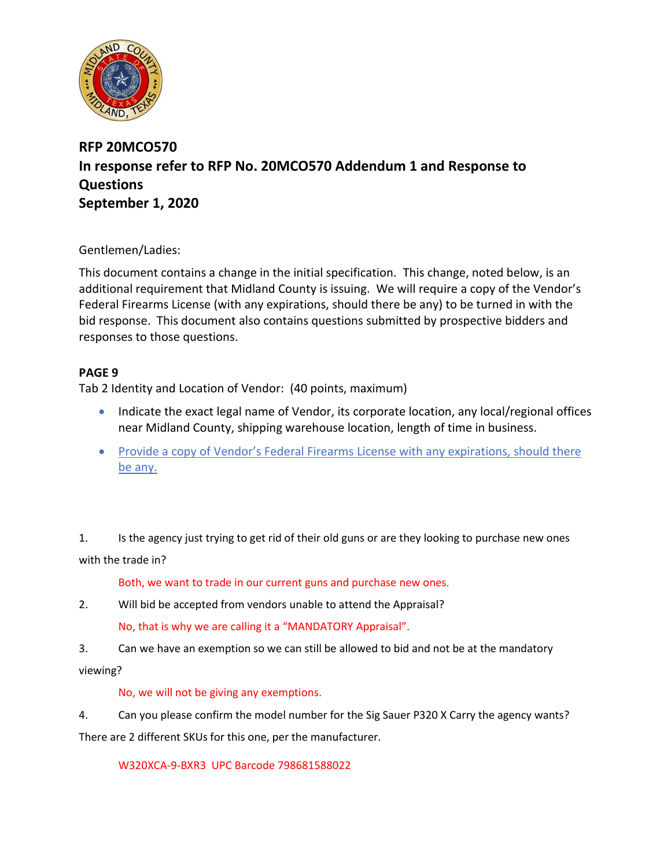

# **RFP 20MCO570 In response refer to RFP No. 20MCO570 Addendum 1 and Response to Questions September 1, 2020**

## Gentlemen/Ladies:

This document contains a change in the initial specification. This change, noted below, is an additional requirement that Midland County is issuing. We will require a copy of the Vendor's Federal Firearms License (with any expirations, should there be any) to be turned in with the bid response. This document also contains questions submitted by prospective bidders and responses to those questions.

## **PAGE 9**

Tab 2 Identity and Location of Vendor: (40 points, maximum)

- Indicate the exact legal name of Vendor, its corporate location, any local/regional offices near Midland County, shipping warehouse location, length of time in business.
- Provide a copy of Vendor's Federal Firearms License with any expirations, should there be any.

1. Is the agency just trying to get rid of their old guns or are they looking to purchase new ones with the trade in?

Both, we want to trade in our current guns and purchase new ones.

- 2. Will bid be accepted from vendors unable to attend the Appraisal? No, that is why we are calling it a "MANDATORY Appraisal".
- 3. Can we have an exemption so we can still be allowed to bid and not be at the mandatory

viewing?

### No, we will not be giving any exemptions.

4. Can you please confirm the model number for the Sig Sauer P320 X Carry the agency wants? There are 2 different SKUs for this one, per the manufacturer.

W320XCA-9-BXR3 UPC Barcode 798681588022